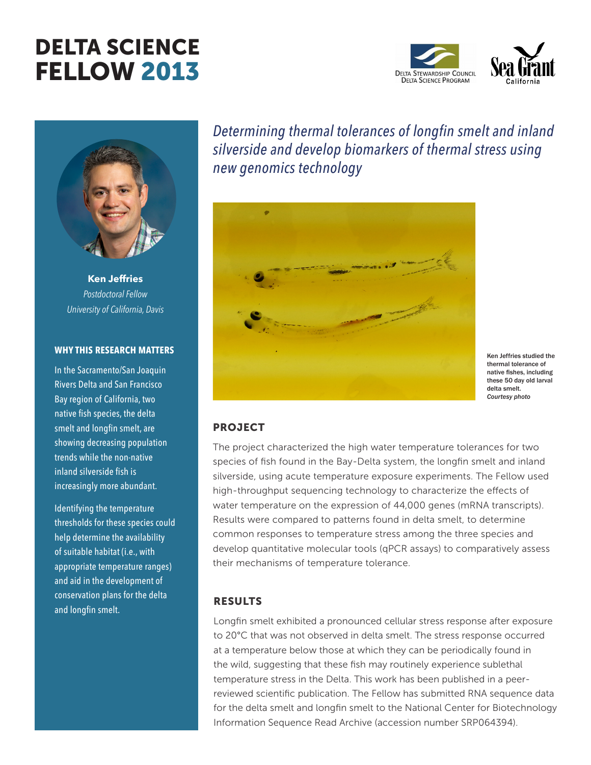# DELTA SCIENCE FELLOW 2013





**Ken Jeffries** *Postdoctoral Fellow University of California, Davis*

## **WHY THIS RESEARCH MATTERS**

In the Sacramento/San Joaquin Rivers Delta and San Francisco Bay region of California, two native fish species, the delta smelt and longfin smelt, are showing decreasing population trends while the non-native inland silverside fish is increasingly more abundant.

Identifying the temperature thresholds for these species could help determine the availability of suitable habitat (i.e., with appropriate temperature ranges) and aid in the development of conservation plans for the delta and longfin smelt.

*Determining thermal tolerances of longfin smelt and inland silverside and develop biomarkers of thermal stress using new genomics technology*



Ken Jeffries studied the thermal tolerance of native fishes, including these 50 day old larval delta smelt. *Courtesy photo*

## PROJECT

The project characterized the high water temperature tolerances for two species of fish found in the Bay-Delta system, the longfin smelt and inland silverside, using acute temperature exposure experiments. The Fellow used high-throughput sequencing technology to characterize the effects of water temperature on the expression of 44,000 genes (mRNA transcripts). Results were compared to patterns found in delta smelt, to determine common responses to temperature stress among the three species and develop quantitative molecular tools (qPCR assays) to comparatively assess their mechanisms of temperature tolerance.

## RESULTS

Longfin smelt exhibited a pronounced cellular stress response after exposure to 20°C that was not observed in delta smelt. The stress response occurred at a temperature below those at which they can be periodically found in the wild, suggesting that these fish may routinely experience sublethal temperature stress in the Delta. This work has been published in a peerreviewed scientific publication. The Fellow has submitted RNA sequence data for the delta smelt and longfin smelt to the National Center for Biotechnology Information Sequence Read Archive (accession number SRP064394).